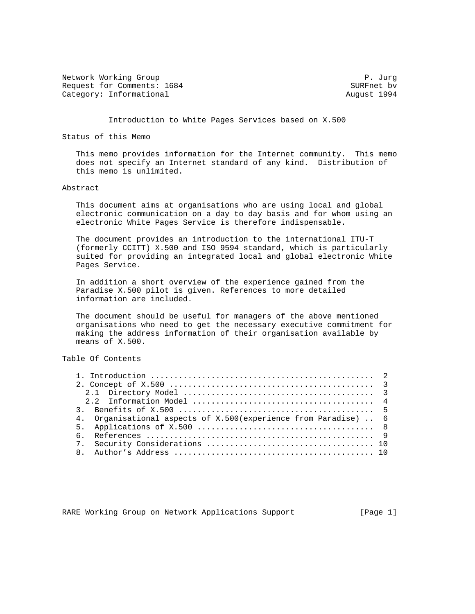Network Working Group P. Jurg 2012 19:00 19:00 19:00 19:00 19:00 19:00 19:00 19:00 19:00 19:00 19:00 19:00 19:0 Request for Comments: 1684 SURFnet bv Category: Informational and August 1994

Introduction to White Pages Services based on X.500

Status of this Memo

 This memo provides information for the Internet community. This memo does not specify an Internet standard of any kind. Distribution of this memo is unlimited.

### Abstract

 This document aims at organisations who are using local and global electronic communication on a day to day basis and for whom using an electronic White Pages Service is therefore indispensable.

 The document provides an introduction to the international ITU-T (formerly CCITT) X.500 and ISO 9594 standard, which is particularly suited for providing an integrated local and global electronic White Pages Service.

 In addition a short overview of the experience gained from the Paradise X.500 pilot is given. References to more detailed information are included.

 The document should be useful for managers of the above mentioned organisations who need to get the necessary executive commitment for making the address information of their organisation available by means of X.500.

# Table Of Contents

| 4. Organisational aspects of X.500 (experience from Paradise)  6 |  |  |
|------------------------------------------------------------------|--|--|
|                                                                  |  |  |
|                                                                  |  |  |
|                                                                  |  |  |
|                                                                  |  |  |
|                                                                  |  |  |

RARE Working Group on Network Applications Support [Page 1]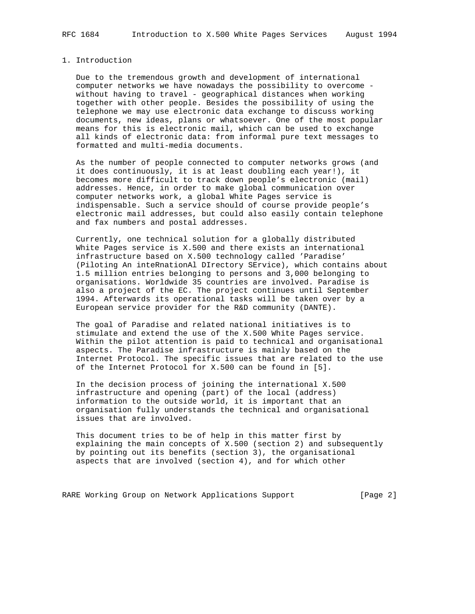### 1. Introduction

 Due to the tremendous growth and development of international computer networks we have nowadays the possibility to overcome without having to travel - geographical distances when working together with other people. Besides the possibility of using the telephone we may use electronic data exchange to discuss working documents, new ideas, plans or whatsoever. One of the most popular means for this is electronic mail, which can be used to exchange all kinds of electronic data: from informal pure text messages to formatted and multi-media documents.

 As the number of people connected to computer networks grows (and it does continuously, it is at least doubling each year!), it becomes more difficult to track down people's electronic (mail) addresses. Hence, in order to make global communication over computer networks work, a global White Pages service is indispensable. Such a service should of course provide people's electronic mail addresses, but could also easily contain telephone and fax numbers and postal addresses.

 Currently, one technical solution for a globally distributed White Pages service is X.500 and there exists an international infrastructure based on X.500 technology called 'Paradise' (Piloting An inteRnationAl DIrectory SErvice), which contains about 1.5 million entries belonging to persons and 3,000 belonging to organisations. Worldwide 35 countries are involved. Paradise is also a project of the EC. The project continues until September 1994. Afterwards its operational tasks will be taken over by a European service provider for the R&D community (DANTE).

 The goal of Paradise and related national initiatives is to stimulate and extend the use of the X.500 White Pages service. Within the pilot attention is paid to technical and organisational aspects. The Paradise infrastructure is mainly based on the Internet Protocol. The specific issues that are related to the use of the Internet Protocol for X.500 can be found in [5].

 In the decision process of joining the international X.500 infrastructure and opening (part) of the local (address) information to the outside world, it is important that an organisation fully understands the technical and organisational issues that are involved.

 This document tries to be of help in this matter first by explaining the main concepts of X.500 (section 2) and subsequently by pointing out its benefits (section 3), the organisational aspects that are involved (section 4), and for which other

RARE Working Group on Network Applications Support [Page 2]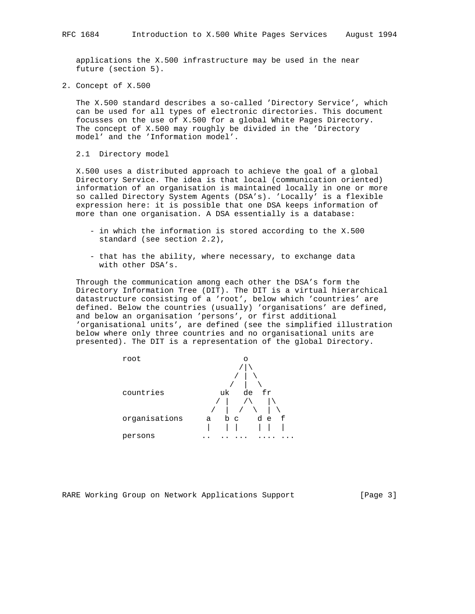applications the X.500 infrastructure may be used in the near future (section 5).

2. Concept of X.500

 The X.500 standard describes a so-called 'Directory Service', which can be used for all types of electronic directories. This document focusses on the use of X.500 for a global White Pages Directory. The concept of X.500 may roughly be divided in the 'Directory model' and the 'Information model'.

2.1 Directory model

 X.500 uses a distributed approach to achieve the goal of a global Directory Service. The idea is that local (communication oriented) information of an organisation is maintained locally in one or more so called Directory System Agents (DSA's). 'Locally' is a flexible expression here: it is possible that one DSA keeps information of more than one organisation. A DSA essentially is a database:

- in which the information is stored according to the X.500 standard (see section 2.2),
- that has the ability, where necessary, to exchange data with other DSA's.

 Through the communication among each other the DSA's form the Directory Information Tree (DIT). The DIT is a virtual hierarchical datastructure consisting of a 'root', below which 'countries' are defined. Below the countries (usually) 'organisations' are defined, and below an organisation 'persons', or first additional 'organisational units', are defined (see the simplified illustration below where only three countries and no organisational units are presented). The DIT is a representation of the global Directory.



RARE Working Group on Network Applications Support [Page 3]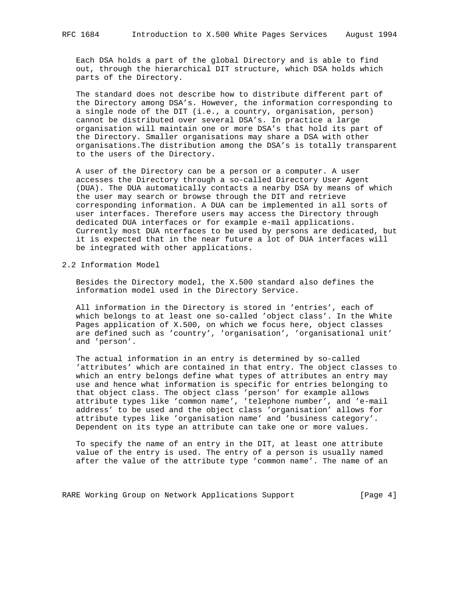Each DSA holds a part of the global Directory and is able to find out, through the hierarchical DIT structure, which DSA holds which parts of the Directory.

 The standard does not describe how to distribute different part of the Directory among DSA's. However, the information corresponding to a single node of the DIT (i.e., a country, organisation, person) cannot be distributed over several DSA's. In practice a large organisation will maintain one or more DSA's that hold its part of the Directory. Smaller organisations may share a DSA with other organisations.The distribution among the DSA's is totally transparent to the users of the Directory.

 A user of the Directory can be a person or a computer. A user accesses the Directory through a so-called Directory User Agent (DUA). The DUA automatically contacts a nearby DSA by means of which the user may search or browse through the DIT and retrieve corresponding information. A DUA can be implemented in all sorts of user interfaces. Therefore users may access the Directory through dedicated DUA interfaces or for example e-mail applications. Currently most DUA nterfaces to be used by persons are dedicated, but it is expected that in the near future a lot of DUA interfaces will be integrated with other applications.

## 2.2 Information Model

 Besides the Directory model, the X.500 standard also defines the information model used in the Directory Service.

 All information in the Directory is stored in 'entries', each of which belongs to at least one so-called 'object class'. In the White Pages application of X.500, on which we focus here, object classes are defined such as 'country', 'organisation', 'organisational unit' and 'person'.

 The actual information in an entry is determined by so-called 'attributes' which are contained in that entry. The object classes to which an entry belongs define what types of attributes an entry may use and hence what information is specific for entries belonging to that object class. The object class 'person' for example allows attribute types like 'common name', 'telephone number', and 'e-mail address' to be used and the object class 'organisation' allows for attribute types like 'organisation name' and 'business category'. Dependent on its type an attribute can take one or more values.

 To specify the name of an entry in the DIT, at least one attribute value of the entry is used. The entry of a person is usually named after the value of the attribute type 'common name'. The name of an

RARE Working Group on Network Applications Support [Page 4]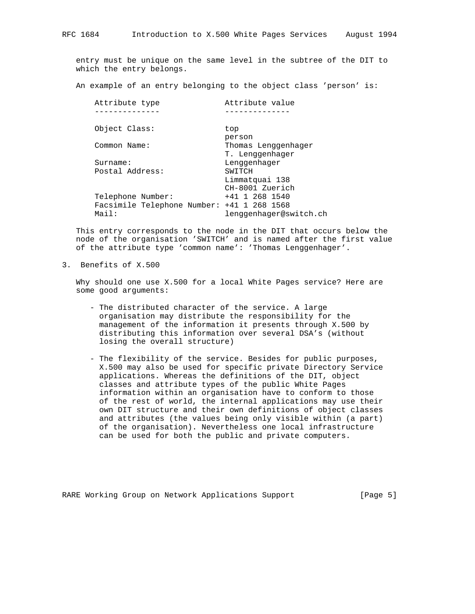entry must be unique on the same level in the subtree of the DIT to which the entry belongs.

An example of an entry belonging to the object class 'person' is:

| Attribute type    | Attribute value                            |
|-------------------|--------------------------------------------|
|                   |                                            |
| Object Class:     | top                                        |
|                   | person                                     |
| Common Name:      | Thomas Lenggenhager                        |
|                   | T. Lenggenhager                            |
| Surname:          | Lenggenhager                               |
| Postal Address:   | SWITCH                                     |
|                   | Limmatquai 138                             |
|                   | CH-8001 Zuerich                            |
| Telephone Number: | $+41$ 1 268 1540                           |
|                   | Facsimile Telephone Number: +41 1 268 1568 |
| Mail:             | lenggenhager@switch.ch                     |

 This entry corresponds to the node in the DIT that occurs below the node of the organisation 'SWITCH' and is named after the first value of the attribute type 'common name': 'Thomas Lenggenhager'.

3. Benefits of X.500

 Why should one use X.500 for a local White Pages service? Here are some good arguments:

- The distributed character of the service. A large organisation may distribute the responsibility for the management of the information it presents through X.500 by distributing this information over several DSA's (without losing the overall structure)
- The flexibility of the service. Besides for public purposes, X.500 may also be used for specific private Directory Service applications. Whereas the definitions of the DIT, object classes and attribute types of the public White Pages information within an organisation have to conform to those of the rest of world, the internal applications may use their own DIT structure and their own definitions of object classes and attributes (the values being only visible within (a part) of the organisation). Nevertheless one local infrastructure can be used for both the public and private computers.

RARE Working Group on Network Applications Support [Page 5]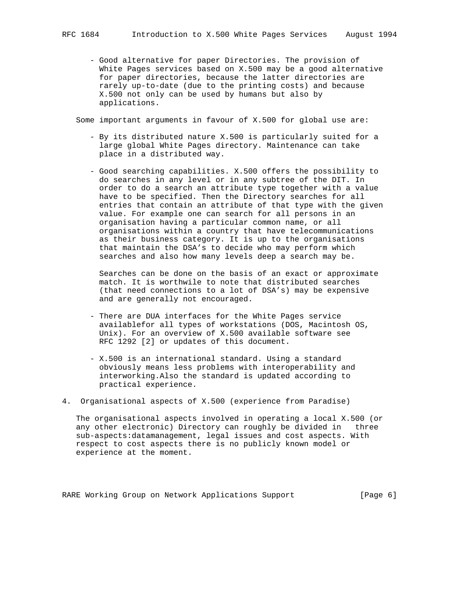- Good alternative for paper Directories. The provision of White Pages services based on X.500 may be a good alternative for paper directories, because the latter directories are rarely up-to-date (due to the printing costs) and because X.500 not only can be used by humans but also by applications.

Some important arguments in favour of X.500 for global use are:

- By its distributed nature X.500 is particularly suited for a large global White Pages directory. Maintenance can take place in a distributed way.
- Good searching capabilities. X.500 offers the possibility to do searches in any level or in any subtree of the DIT. In order to do a search an attribute type together with a value have to be specified. Then the Directory searches for all entries that contain an attribute of that type with the given value. For example one can search for all persons in an organisation having a particular common name, or all organisations within a country that have telecommunications as their business category. It is up to the organisations that maintain the DSA's to decide who may perform which searches and also how many levels deep a search may be.

 Searches can be done on the basis of an exact or approximate match. It is worthwile to note that distributed searches (that need connections to a lot of DSA's) may be expensive and are generally not encouraged.

- There are DUA interfaces for the White Pages service availablefor all types of workstations (DOS, Macintosh OS, Unix). For an overview of X.500 available software see RFC 1292 [2] or updates of this document.
- X.500 is an international standard. Using a standard obviously means less problems with interoperability and interworking.Also the standard is updated according to practical experience.
- 4. Organisational aspects of X.500 (experience from Paradise)

 The organisational aspects involved in operating a local X.500 (or any other electronic) Directory can roughly be divided in three sub-aspects:datamanagement, legal issues and cost aspects. With respect to cost aspects there is no publicly known model or experience at the moment.

RARE Working Group on Network Applications Support [Page 6]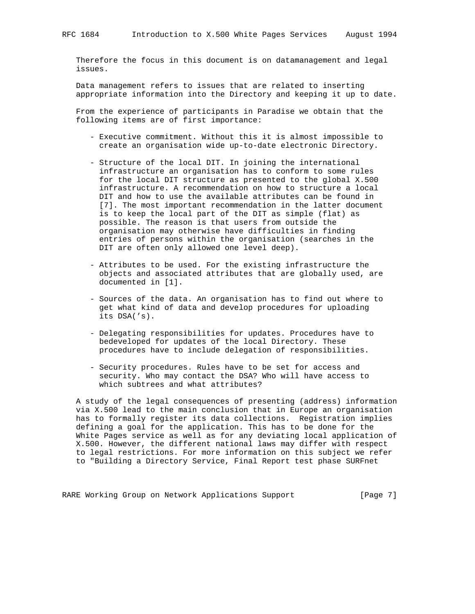Therefore the focus in this document is on datamanagement and legal issues.

 Data management refers to issues that are related to inserting appropriate information into the Directory and keeping it up to date.

 From the experience of participants in Paradise we obtain that the following items are of first importance:

- Executive commitment. Without this it is almost impossible to create an organisation wide up-to-date electronic Directory.
- Structure of the local DIT. In joining the international infrastructure an organisation has to conform to some rules for the local DIT structure as presented to the global X.500 infrastructure. A recommendation on how to structure a local DIT and how to use the available attributes can be found in [7]. The most important recommendation in the latter document is to keep the local part of the DIT as simple (flat) as possible. The reason is that users from outside the organisation may otherwise have difficulties in finding entries of persons within the organisation (searches in the DIT are often only allowed one level deep).
- Attributes to be used. For the existing infrastructure the objects and associated attributes that are globally used, are documented in [1].
- Sources of the data. An organisation has to find out where to get what kind of data and develop procedures for uploading its DSA('s).
- Delegating responsibilities for updates. Procedures have to bedeveloped for updates of the local Directory. These procedures have to include delegation of responsibilities.
- Security procedures. Rules have to be set for access and security. Who may contact the DSA? Who will have access to which subtrees and what attributes?

 A study of the legal consequences of presenting (address) information via X.500 lead to the main conclusion that in Europe an organisation has to formally register its data collections. Registration implies defining a goal for the application. This has to be done for the White Pages service as well as for any deviating local application of X.500. However, the different national laws may differ with respect to legal restrictions. For more information on this subject we refer to "Building a Directory Service, Final Report test phase SURFnet

RARE Working Group on Network Applications Support [Page 7]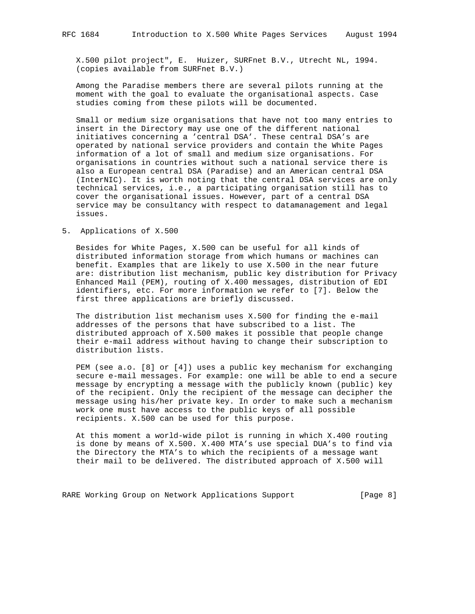X.500 pilot project", E. Huizer, SURFnet B.V., Utrecht NL, 1994. (copies available from SURFnet B.V.)

 Among the Paradise members there are several pilots running at the moment with the goal to evaluate the organisational aspects. Case studies coming from these pilots will be documented.

 Small or medium size organisations that have not too many entries to insert in the Directory may use one of the different national initiatives concerning a 'central DSA'. These central DSA's are operated by national service providers and contain the White Pages information of a lot of small and medium size organisations. For organisations in countries without such a national service there is also a European central DSA (Paradise) and an American central DSA (InterNIC). It is worth noting that the central DSA services are only technical services, i.e., a participating organisation still has to cover the organisational issues. However, part of a central DSA service may be consultancy with respect to datamanagement and legal issues.

# 5. Applications of X.500

 Besides for White Pages, X.500 can be useful for all kinds of distributed information storage from which humans or machines can benefit. Examples that are likely to use X.500 in the near future are: distribution list mechanism, public key distribution for Privacy Enhanced Mail (PEM), routing of X.400 messages, distribution of EDI identifiers, etc. For more information we refer to [7]. Below the first three applications are briefly discussed.

 The distribution list mechanism uses X.500 for finding the e-mail addresses of the persons that have subscribed to a list. The distributed approach of X.500 makes it possible that people change their e-mail address without having to change their subscription to distribution lists.

 PEM (see a.o. [8] or [4]) uses a public key mechanism for exchanging secure e-mail messages. For example: one will be able to end a secure message by encrypting a message with the publicly known (public) key of the recipient. Only the recipient of the message can decipher the message using his/her private key. In order to make such a mechanism work one must have access to the public keys of all possible recipients. X.500 can be used for this purpose.

 At this moment a world-wide pilot is running in which X.400 routing is done by means of X.500. X.400 MTA's use special DUA's to find via the Directory the MTA's to which the recipients of a message want their mail to be delivered. The distributed approach of X.500 will

RARE Working Group on Network Applications Support [Page 8]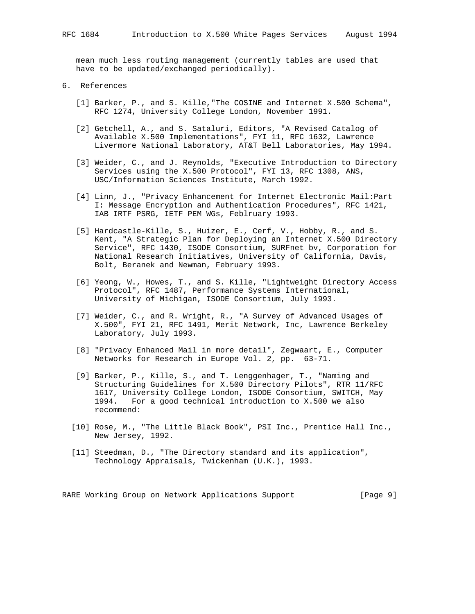mean much less routing management (currently tables are used that have to be updated/exchanged periodically).

- 6. References
	- [1] Barker, P., and S. Kille,"The COSINE and Internet X.500 Schema", RFC 1274, University College London, November 1991.
	- [2] Getchell, A., and S. Sataluri, Editors, "A Revised Catalog of Available X.500 Implementations", FYI 11, RFC 1632, Lawrence Livermore National Laboratory, AT&T Bell Laboratories, May 1994.
	- [3] Weider, C., and J. Reynolds, "Executive Introduction to Directory Services using the X.500 Protocol", FYI 13, RFC 1308, ANS, USC/Information Sciences Institute, March 1992.
	- [4] Linn, J., "Privacy Enhancement for Internet Electronic Mail:Part I: Message Encryption and Authentication Procedures", RFC 1421, IAB IRTF PSRG, IETF PEM WGs, Feblruary 1993.
	- [5] Hardcastle-Kille, S., Huizer, E., Cerf, V., Hobby, R., and S. Kent, "A Strategic Plan for Deploying an Internet X.500 Directory Service", RFC 1430, ISODE Consortium, SURFnet bv, Corporation for National Research Initiatives, University of California, Davis, Bolt, Beranek and Newman, February 1993.
	- [6] Yeong, W., Howes, T., and S. Kille, "Lightweight Directory Access Protocol", RFC 1487, Performance Systems International, University of Michigan, ISODE Consortium, July 1993.
	- [7] Weider, C., and R. Wright, R., "A Survey of Advanced Usages of X.500", FYI 21, RFC 1491, Merit Network, Inc, Lawrence Berkeley Laboratory, July 1993.
	- [8] "Privacy Enhanced Mail in more detail", Zegwaart, E., Computer Networks for Research in Europe Vol. 2, pp. 63-71.
	- [9] Barker, P., Kille, S., and T. Lenggenhager, T., "Naming and Structuring Guidelines for X.500 Directory Pilots", RTR 11/RFC 1617, University College London, ISODE Consortium, SWITCH, May 1994. For a good technical introduction to X.500 we also recommend:
	- [10] Rose, M., "The Little Black Book", PSI Inc., Prentice Hall Inc., New Jersey, 1992.
	- [11] Steedman, D., "The Directory standard and its application", Technology Appraisals, Twickenham (U.K.), 1993.

RARE Working Group on Network Applications Support [Page 9]